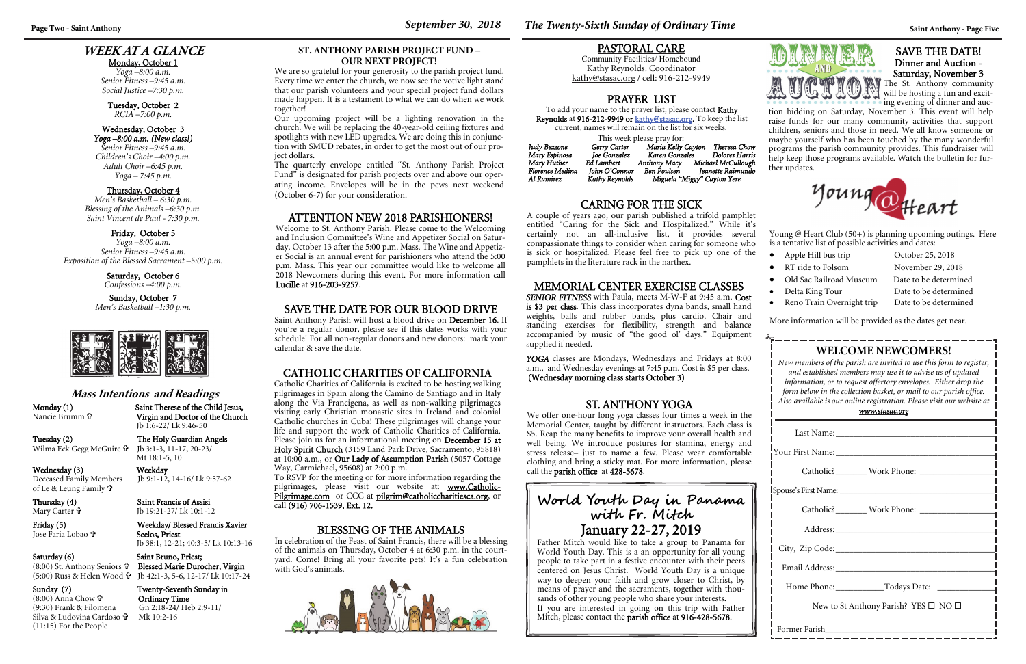### **WEEK AT A GLANCE**

#### Monday, October 1

*Yoga –8:00 a.m. Senior Fitness –9:45 a.m. Social Justice –7:30 p.m.* 

#### Tuesday, October 2

*RCIA –7:00 p.m.* 

#### Wednesday, October 3 *Yoga –8:00 a.m. (New class!)*

Saturday, October 6 *Confessions –4:00 p.m.* 

*Senior Fitness –9:45 a.m. Children's Choir –4:00 p.m. Adult Choir –6:45 p.m. Yoga – 7:45 p.m.* 

| <b>WELCOME NEWCOMERS!</b><br>New members of the parish are invited to use this form to register,<br>and established members may use it to advise us of updated<br>information, or to request offertory envelopes. Either drop the<br>form below in the collection basket, or mail to our parish office.<br>Also available is our online registration. Please visit our website at<br>www.stasac.org |  |  |  |  |
|-----------------------------------------------------------------------------------------------------------------------------------------------------------------------------------------------------------------------------------------------------------------------------------------------------------------------------------------------------------------------------------------------------|--|--|--|--|
|                                                                                                                                                                                                                                                                                                                                                                                                     |  |  |  |  |
|                                                                                                                                                                                                                                                                                                                                                                                                     |  |  |  |  |
| Catholic? ________ Work Phone: ______________                                                                                                                                                                                                                                                                                                                                                       |  |  |  |  |
|                                                                                                                                                                                                                                                                                                                                                                                                     |  |  |  |  |
|                                                                                                                                                                                                                                                                                                                                                                                                     |  |  |  |  |
|                                                                                                                                                                                                                                                                                                                                                                                                     |  |  |  |  |
|                                                                                                                                                                                                                                                                                                                                                                                                     |  |  |  |  |
|                                                                                                                                                                                                                                                                                                                                                                                                     |  |  |  |  |
|                                                                                                                                                                                                                                                                                                                                                                                                     |  |  |  |  |
| New to St Anthony Parish? YES $\square$ NO $\square$                                                                                                                                                                                                                                                                                                                                                |  |  |  |  |
| Former Parish                                                                                                                                                                                                                                                                                                                                                                                       |  |  |  |  |

#### Thursday, October 4

*Men's Basketball – 6:30 p.m. Blessing of the Animals –6:30 p.m. Saint Vincent de Paul - 7:30 p.m.* 

#### Friday, October 5

*Yoga –8:00 a.m. Senior Fitness –9:45 a.m. Exposition of the Blessed Sacrament –5:00 p.m.* 

#### Sunday, October 7

*Men's Basketball –1:30 p.m.* 



Wednesday (3) Weekday<br>Deceased Family Members Jb 9:1-12, of Le & Leung Family

Mary Carter <sup>⊕</sup>

Thursday (4) Saint Francis of Assisi Jb 19:21-27/ Lk 10:1-12

(8:00) Anna Chow **th**  $(8:00)$  Anna Chow  $\mathbf{\hat{v}}$  **Ordinary Time**<br>(9:30) Frank & Filomena Gn 2:18-24/ Hel Silva & Ludovina Cardoso (11:15) For the People

YOGA classes are Mondays, Wednesdays and Fridays at 8:00 a.m., and Wednesday evenings at 7:45 p.m. Cost is \$5 per class. (Wednesday morning class starts October 3)

#### **Mass Intentions and Readings**

Monday (1) Saint Therese of the Child Jesus, Nancie Brumm

Virgin and Doctor of the Church



Jb 1:6-22/ Lk 9:46-50

Wilma Eck Gegg McGuire

Tuesday (2) The Holy Guardian Angels Jb 3:1-3, 11-17, 20-23/ Mt 18:1-5, 10

# Jb 9:1-12, 14-16/ Lk 9:57-62

#### Friday (5) Weekday/ Blessed Francis Xavier Seelos, Priest

Jose Faria Lobao

### Saturday (6) Saint Bruno, Priest;

Jb 38:1, 12-21; 40:3-5/ Lk 10:13-16

(8:00) St. Anthony Seniors

 Blessed Marie Durocher, Virgin (5:00) Russ & Helen Wood Jb 42:1-3, 5-6, 12-17/ Lk 10:17-24

Young  $\omega$  Heart Club (50+) is planning upcoming outings. Here is a tentative list of possible activities and dates:

- Apple Hill bus trip October 25, 2018
- RT ride to Folsom November 29, 2018
- Old Sac Railroad Museum Date to be determined
- Delta King Tour
- Reno Train Overnight trip Date to be determined

Date to be determined

#### Sunday (7) Twenty-Seventh Sunday in Gn 2:18-24/ Heb 2:9-11/ Mk 10:2-16

### MEMORIAL CENTER EXERCISE CLASSES

*SENIOR FITNESS* with Paula, meets M-W-F at 9:45 a.m. Cost is \$3 per class. This class incorporates dyna bands, small hand weights, balls and rubber bands, plus cardio. Chair and standing exercises for flexibility, strength and balance accompanied by music of "the good ol' days." Equipment <sup>s</sup>upplied if needed.

Catholic Charities of California is excited to be hosting walking pilgrimages in Spain along the Camino de Santiago and in Italy along the Via Francigena, as well as non-walking pilgrimages visiting early Christian monastic sites in Ireland and colonial Catholic churches in Cuba! These pilgrimages will change your life and support the work of Catholic Charities of California. Please join us for an informational meeting on December 15 at Holy Spirit Church (3159 Land Park Drive, Sacramento, 95818) at 10:00 a.m., or Our Lady of Assumption Parish (5057 Cottage Way, Carmichael,  $95608$ ) at 2:00 p.m.

### PRAYER LIST

To add your name to the prayer list, please contact Kathy Reynolds at 916-212-9949 or kathy@stasac.org. To keep the list current, names will remain on the list for six weeks.

This week please pray for:

| Judy Bezzone    | Gerry Carter   | Maria Kelly Cayton          |  | Theresa Chow       |
|-----------------|----------------|-----------------------------|--|--------------------|
| Mary Espinosa   | Joe Gonzalez   | Karen Gonzales              |  | Dolores Harris     |
| Mary Huther     | Ed Lambert     | <b>Anthony Macy</b>         |  | Michael McCullough |
| Florence Medina | John O'Connor  | Ben Poulsen                 |  | Jeanette Raimundo  |
| Al Ramirez      | Kathy Reynolds | Miguela "Miggy" Cayton Yere |  |                    |

### PASTORAL CARE

Community Facilities/ Homebound Kathy Reynolds, Coordinator kathy@stasac.org / cell: 916-212-9949

### **World Youth Day in Panama with F r. Mitch**  January 22-27, 2019

Father Mitch would like to take a group to Panama for World Youth Day. This is a an opportunity for all young people to take part in a festive encounter with their peers centered on Jesus Christ. World Youth Day is a unique way to deepen your faith and grow closer to Christ, by means of prayer and the sacraments, together with thousands of other young people who share your interests. If you are interested in going on this trip with Father Mitch, please contact the parish office at 916-428-5678.

#### ATTENTION NEW 2018 PARISHIONERS!

Welcome to St. Anthony Parish. Please come to the Welcoming and Inclusion Committee's Wine and Appetizer Social on Saturday, October 13 after the 5:00 p.m. Mass. The Wine and Appetizer Social is an annual event for parishioners who attend the 5:00 p.m. Mass. This year our committee would like to welcome all 2018 Newcomers during this event. For more information call Lucille at 916-203-9257.

More information will be provided as the dates get near.

### CARING FOR THE SICK

A couple of years ago, our parish published a trifold pamphlet entitled "Caring for the Sick and Hospitalized." While it's certainly not an all-inclusive list, it provides several compassionate things to consider when caring for someone who is sick or hospitalized. Please feel free to pick up one of the pamphlets in the literature rack in the narthex.

### SAVE THE DATE FOR OUR BLOOD DRIVE

Saint Anthony Parish will host a blood drive on December 16. If you're a regular donor, please see if this dates works with your schedule! For all non-regular donors and new donors: mark your calendar & save the date.

### BLESSING OF THE ANIMALS

In celebration of the Feast of Saint Francis, there will be a blessing of the animals on Thursday, October 4 at 6:30 p.m. in the courtyard. Come! Bring all your favorite pets! It's a fun celebration with God's animals.



### **Page Two - Saint Anthony September 30, 2018** *The Twenty-Sixth Sunday of Ordinary Time**Saint Anthony - Page Five*

### **CATHOLIC CHARITIES OF CALIFORNIA**

To RSVP for the meeting or for more information regarding the pilgrimages, please visit our website at: www.Catholic-Pilgrimage.com or CCC at pilgrim@catholiccharitiesca.org, or call (916) 706-1539, Ext. 12.

#### SAVE THE DATE! Dinner and Auction - Saturday, November 3

The St. Anthony community will be hosting a fun and exciting evening of dinner and auc-

tion bidding on Saturday, November 3. This event will help raise funds for our many community activities that support children, seniors and those in need. We all know someone or maybe yourself who has been touched by the many wonderful programs the parish community provides. This fundraiser will help keep those programs available. Watch the bulletin for further updates.



**ST. ANTHONY PARISH PROJECT FUND – OUR NEXT PROJECT!** 

We are so grateful for your generosity to the parish project fund. Every time we enter the church, we now see the votive light stand that our parish volunteers and your special project fund dollars made happen. It is a testament to what we can do when we work together!

Our upcoming project will be a lighting renovation in the church. We will be replacing the 40-year-old ceiling fixtures and spotlights with new LED upgrades. We are doing this in conjunction with SMUD rebates, in order to get the most out of our project dollars.

The quarterly envelope entitled "St. Anthony Parish Project Fund" is designated for parish projects over and above our operating income. Envelopes will be in the pews next weekend (October 6-7) for your consideration.

### ST. ANTHONY YOGA

We offer one-hour long yoga classes four times a week in the Memorial Center, taught by different instructors. Each class is \$5. Reap the many benefits to improve your overall health and well being. We introduce postures for stamina, energy and stress release– just to name a few. Please wear comfortable clothing and bring a sticky mat. For more information, please call the parish office at 428-5678.